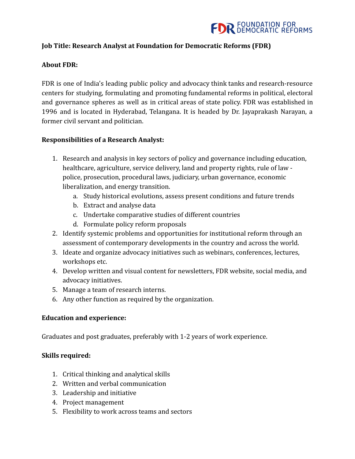

# **Job Title: Research Analyst at Foundation for Democratic Reforms (FDR)**

# **About FDR:**

FDR is one of India's leading public policy and advocacy think tanks and research-resource centers for studying, formulating and promoting fundamental reforms in political, electoral and governance spheres as well as in critical areas of state policy. FDR was established in 1996 and is located in Hyderabad, Telangana. It is headed by Dr. Jayaprakash Narayan, a former civil servant and politician.

# **Responsibilities of a Research Analyst:**

- 1. Research and analysis in key sectors of policy and governance including education, healthcare, agriculture, service delivery, land and property rights, rule of law police, prosecution, procedural laws, judiciary, urban governance, economic liberalization, and energy transition.
	- a. Study historical evolutions, assess present conditions and future trends
	- b. Extract and analyse data
	- c. Undertake comparative studies of different countries
	- d. Formulate policy reform proposals
- 2. Identify systemic problems and opportunities for institutional reform through an assessment of contemporary developments in the country and across the world.
- 3. Ideate and organize advocacy initiatives such as webinars, conferences, lectures, workshops etc.
- 4. Develop written and visual content for newsletters, FDR website, social media, and advocacy initiatives.
- 5. Manage a team of research interns.
- 6. Any other function as required by the organization.

### **Education and experience:**

Graduates and post graduates, preferably with 1-2 years of work experience.

### **Skills required:**

- 1. Critical thinking and analytical skills
- 2. Written and verbal communication
- 3. Leadership and initiative
- 4. Project management
- 5. Flexibility to work across teams and sectors